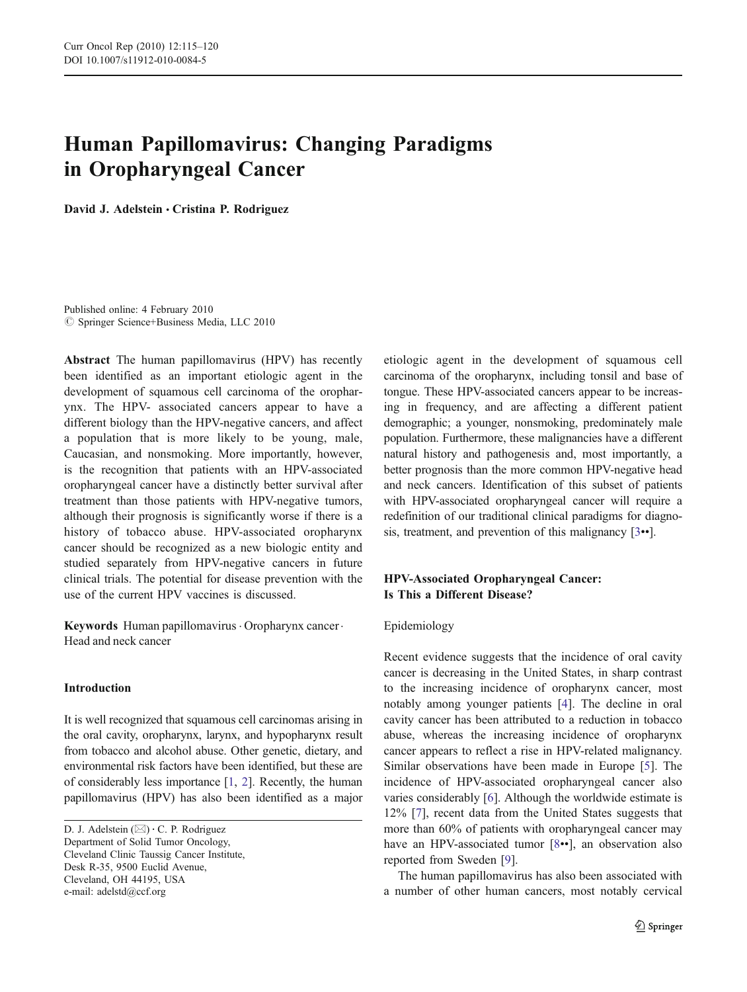# Human Papillomavirus: Changing Paradigms in Oropharyngeal Cancer

David J. Adelstein *&* Cristina P. Rodriguez

Published online: 4 February 2010  $\circledcirc$  Springer Science+Business Media, LLC 2010

Abstract The human papillomavirus (HPV) has recently been identified as an important etiologic agent in the development of squamous cell carcinoma of the oropharynx. The HPV- associated cancers appear to have a different biology than the HPV-negative cancers, and affect a population that is more likely to be young, male, Caucasian, and nonsmoking. More importantly, however, is the recognition that patients with an HPV-associated oropharyngeal cancer have a distinctly better survival after treatment than those patients with HPV-negative tumors, although their prognosis is significantly worse if there is a history of tobacco abuse. HPV-associated oropharynx cancer should be recognized as a new biologic entity and studied separately from HPV-negative cancers in future clinical trials. The potential for disease prevention with the use of the current HPV vaccines is discussed.

Keywords Human papillomavirus · Oropharynx cancer · Head and neck cancer

### Introduction

It is well recognized that squamous cell carcinomas arising in the oral cavity, oropharynx, larynx, and hypopharynx result from tobacco and alcohol abuse. Other genetic, dietary, and environmental risk factors have been identified, but these are of considerably less importance [\[1,](#page-4-0) [2\]](#page-4-0). Recently, the human papillomavirus (HPV) has also been identified as a major

Department of Solid Tumor Oncology, Cleveland Clinic Taussig Cancer Institute, Desk R-35, 9500 Euclid Avenue, Cleveland, OH 44195, USA e-mail: adelstd@ccf.org

etiologic agent in the development of squamous cell carcinoma of the oropharynx, including tonsil and base of tongue. These HPV-associated cancers appear to be increasing in frequency, and are affecting a different patient demographic; a younger, nonsmoking, predominately male population. Furthermore, these malignancies have a different natural history and pathogenesis and, most importantly, a better prognosis than the more common HPV-negative head and neck cancers. Identification of this subset of patients with HPV-associated oropharyngeal cancer will require a redefinition of our traditional clinical paradigms for diagnosis, treatment, and prevention of this malignancy [\[3](#page-4-0)••].

## HPV-Associated Oropharyngeal Cancer: Is This a Different Disease?

#### Epidemiology

Recent evidence suggests that the incidence of oral cavity cancer is decreasing in the United States, in sharp contrast to the increasing incidence of oropharynx cancer, most notably among younger patients [[4](#page-4-0)]. The decline in oral cavity cancer has been attributed to a reduction in tobacco abuse, whereas the increasing incidence of oropharynx cancer appears to reflect a rise in HPV-related malignancy. Similar observations have been made in Europe [[5\]](#page-4-0). The incidence of HPV-associated oropharyngeal cancer also varies considerably [[6\]](#page-4-0). Although the worldwide estimate is 12% [[7\]](#page-4-0), recent data from the United States suggests that more than 60% of patients with oropharyngeal cancer may have an HPV-associated tumor [[8](#page-4-0)••], an observation also reported from Sweden [[9\]](#page-4-0).

The human papillomavirus has also been associated with a number of other human cancers, most notably cervical

D. J. Adelstein (*\**) *:* C. P. Rodriguez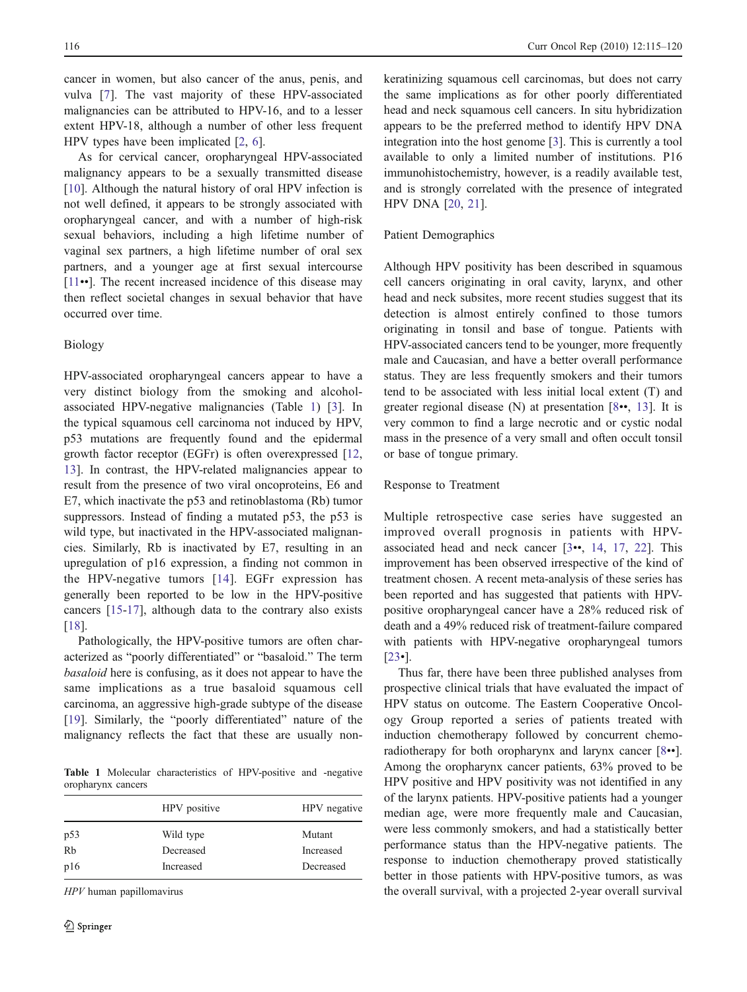cancer in women, but also cancer of the anus, penis, and vulva [[7\]](#page-4-0). The vast majority of these HPV-associated malignancies can be attributed to HPV-16, and to a lesser extent HPV-18, although a number of other less frequent HPV types have been implicated [\[2](#page-4-0), [6](#page-4-0)].

As for cervical cancer, oropharyngeal HPV-associated malignancy appears to be a sexually transmitted disease [\[10](#page-4-0)]. Although the natural history of oral HPV infection is not well defined, it appears to be strongly associated with oropharyngeal cancer, and with a number of high-risk sexual behaviors, including a high lifetime number of vaginal sex partners, a high lifetime number of oral sex partners, and a younger age at first sexual intercourse [\[11](#page-4-0)••]. The recent increased incidence of this disease may then reflect societal changes in sexual behavior that have occurred over time.

## Biology

HPV-associated oropharyngeal cancers appear to have a very distinct biology from the smoking and alcoholassociated HPV-negative malignancies (Table 1) [\[3](#page-4-0)]. In the typical squamous cell carcinoma not induced by HPV, p53 mutations are frequently found and the epidermal growth factor receptor (EGFr) is often overexpressed [[12,](#page-4-0) [13\]](#page-4-0). In contrast, the HPV-related malignancies appear to result from the presence of two viral oncoproteins, E6 and E7, which inactivate the p53 and retinoblastoma (Rb) tumor suppressors. Instead of finding a mutated p53, the p53 is wild type, but inactivated in the HPV-associated malignancies. Similarly, Rb is inactivated by E7, resulting in an upregulation of p16 expression, a finding not common in the HPV-negative tumors [[14](#page-4-0)]. EGFr expression has generally been reported to be low in the HPV-positive cancers [\[15-17](#page-4-0)], although data to the contrary also exists [\[18](#page-4-0)].

Pathologically, the HPV-positive tumors are often characterized as "poorly differentiated" or "basaloid." The term basaloid here is confusing, as it does not appear to have the same implications as a true basaloid squamous cell carcinoma, an aggressive high-grade subtype of the disease [\[19](#page-4-0)]. Similarly, the "poorly differentiated" nature of the malignancy reflects the fact that these are usually non-

Table 1 Molecular characteristics of HPV-positive and -negative oropharynx cancers

|     | HPV positive | HPV negative |
|-----|--------------|--------------|
| p53 | Wild type    | Mutant       |
| Rb  | Decreased    | Increased    |
| p16 | Increased    | Decreased    |

HPV human papillomavirus

keratinizing squamous cell carcinomas, but does not carry the same implications as for other poorly differentiated head and neck squamous cell cancers. In situ hybridization appears to be the preferred method to identify HPV DNA integration into the host genome [[3\]](#page-4-0). This is currently a tool available to only a limited number of institutions. P16 immunohistochemistry, however, is a readily available test, and is strongly correlated with the presence of integrated HPV DNA [\[20](#page-4-0), [21](#page-4-0)].

#### Patient Demographics

Although HPV positivity has been described in squamous cell cancers originating in oral cavity, larynx, and other head and neck subsites, more recent studies suggest that its detection is almost entirely confined to those tumors originating in tonsil and base of tongue. Patients with HPV-associated cancers tend to be younger, more frequently male and Caucasian, and have a better overall performance status. They are less frequently smokers and their tumors tend to be associated with less initial local extent (T) and greater regional disease (N) at presentation [[8](#page-4-0)••, [13](#page-4-0)]. It is very common to find a large necrotic and or cystic nodal mass in the presence of a very small and often occult tonsil or base of tongue primary.

#### Response to Treatment

Multiple retrospective case series have suggested an improved overall prognosis in patients with HPVassociated head and neck cancer [\[3](#page-4-0)••, [14](#page-4-0), [17,](#page-4-0) [22](#page-4-0)]. This improvement has been observed irrespective of the kind of treatment chosen. A recent meta-analysis of these series has been reported and has suggested that patients with HPVpositive oropharyngeal cancer have a 28% reduced risk of death and a 49% reduced risk of treatment-failure compared with patients with HPV-negative oropharyngeal tumors [\[23](#page-4-0)•].

Thus far, there have been three published analyses from prospective clinical trials that have evaluated the impact of HPV status on outcome. The Eastern Cooperative Oncology Group reported a series of patients treated with induction chemotherapy followed by concurrent chemoradiotherapy for both oropharynx and larynx cancer [[8](#page-4-0)••]. Among the oropharynx cancer patients, 63% proved to be HPV positive and HPV positivity was not identified in any of the larynx patients. HPV-positive patients had a younger median age, were more frequently male and Caucasian, were less commonly smokers, and had a statistically better performance status than the HPV-negative patients. The response to induction chemotherapy proved statistically better in those patients with HPV-positive tumors, as was the overall survival, with a projected 2-year overall survival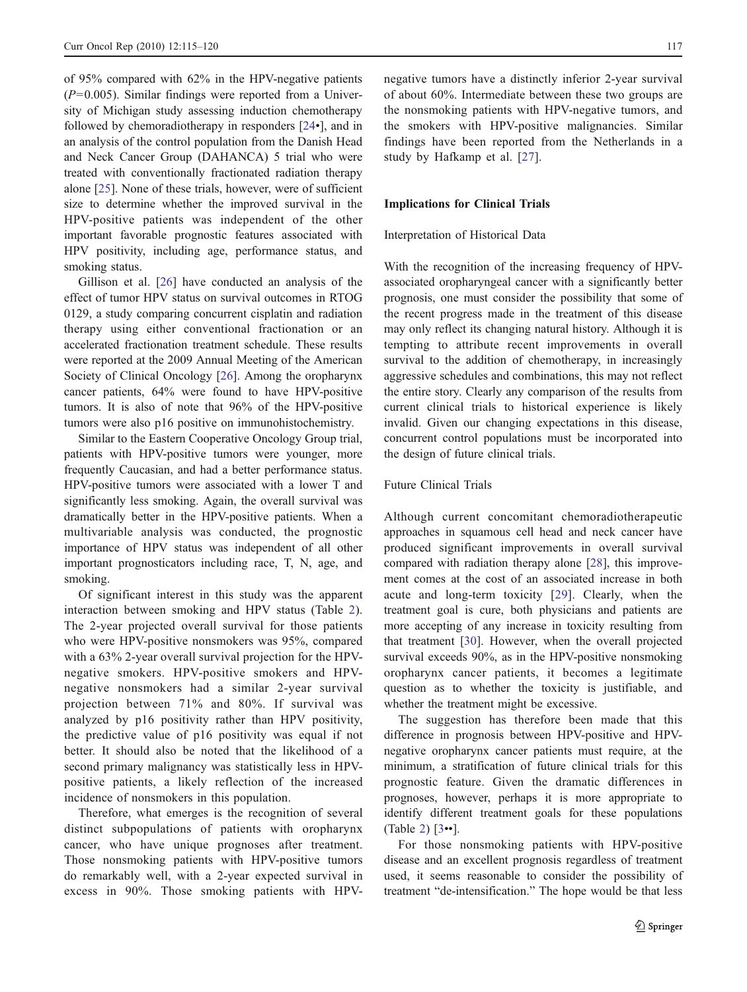of 95% compared with 62% in the HPV-negative patients  $(P=0.005)$ . Similar findings were reported from a University of Michigan study assessing induction chemotherapy followed by chemoradiotherapy in responders [[24](#page-4-0)•], and in an analysis of the control population from the Danish Head and Neck Cancer Group (DAHANCA) 5 trial who were treated with conventionally fractionated radiation therapy alone [\[25](#page-4-0)]. None of these trials, however, were of sufficient size to determine whether the improved survival in the HPV-positive patients was independent of the other important favorable prognostic features associated with HPV positivity, including age, performance status, and smoking status.

Gillison et al. [[26\]](#page-4-0) have conducted an analysis of the effect of tumor HPV status on survival outcomes in RTOG 0129, a study comparing concurrent cisplatin and radiation therapy using either conventional fractionation or an accelerated fractionation treatment schedule. These results were reported at the 2009 Annual Meeting of the American Society of Clinical Oncology [[26\]](#page-4-0). Among the oropharynx cancer patients, 64% were found to have HPV-positive tumors. It is also of note that 96% of the HPV-positive tumors were also p16 positive on immunohistochemistry.

Similar to the Eastern Cooperative Oncology Group trial, patients with HPV-positive tumors were younger, more frequently Caucasian, and had a better performance status. HPV-positive tumors were associated with a lower T and significantly less smoking. Again, the overall survival was dramatically better in the HPV-positive patients. When a multivariable analysis was conducted, the prognostic importance of HPV status was independent of all other important prognosticators including race, T, N, age, and smoking.

Of significant interest in this study was the apparent interaction between smoking and HPV status (Table [2](#page-3-0)). The 2-year projected overall survival for those patients who were HPV-positive nonsmokers was 95%, compared with a 63% 2-year overall survival projection for the HPVnegative smokers. HPV-positive smokers and HPVnegative nonsmokers had a similar 2-year survival projection between 71% and 80%. If survival was analyzed by p16 positivity rather than HPV positivity, the predictive value of p16 positivity was equal if not better. It should also be noted that the likelihood of a second primary malignancy was statistically less in HPVpositive patients, a likely reflection of the increased incidence of nonsmokers in this population.

Therefore, what emerges is the recognition of several distinct subpopulations of patients with oropharynx cancer, who have unique prognoses after treatment. Those nonsmoking patients with HPV-positive tumors do remarkably well, with a 2-year expected survival in excess in 90%. Those smoking patients with HPV-

negative tumors have a distinctly inferior 2-year survival of about 60%. Intermediate between these two groups are the nonsmoking patients with HPV-negative tumors, and the smokers with HPV-positive malignancies. Similar findings have been reported from the Netherlands in a study by Hafkamp et al. [\[27](#page-4-0)].

## Implications for Clinical Trials

#### Interpretation of Historical Data

With the recognition of the increasing frequency of HPVassociated oropharyngeal cancer with a significantly better prognosis, one must consider the possibility that some of the recent progress made in the treatment of this disease may only reflect its changing natural history. Although it is tempting to attribute recent improvements in overall survival to the addition of chemotherapy, in increasingly aggressive schedules and combinations, this may not reflect the entire story. Clearly any comparison of the results from current clinical trials to historical experience is likely invalid. Given our changing expectations in this disease, concurrent control populations must be incorporated into the design of future clinical trials.

#### Future Clinical Trials

Although current concomitant chemoradiotherapeutic approaches in squamous cell head and neck cancer have produced significant improvements in overall survival compared with radiation therapy alone [[28\]](#page-4-0), this improvement comes at the cost of an associated increase in both acute and long-term toxicity [[29\]](#page-4-0). Clearly, when the treatment goal is cure, both physicians and patients are more accepting of any increase in toxicity resulting from that treatment [\[30](#page-4-0)]. However, when the overall projected survival exceeds 90%, as in the HPV-positive nonsmoking oropharynx cancer patients, it becomes a legitimate question as to whether the toxicity is justifiable, and whether the treatment might be excessive.

The suggestion has therefore been made that this difference in prognosis between HPV-positive and HPVnegative oropharynx cancer patients must require, at the minimum, a stratification of future clinical trials for this prognostic feature. Given the dramatic differences in prognoses, however, perhaps it is more appropriate to identify different treatment goals for these populations (Table [2](#page-3-0)) [\[3](#page-4-0)••].

For those nonsmoking patients with HPV-positive disease and an excellent prognosis regardless of treatment used, it seems reasonable to consider the possibility of treatment "de-intensification." The hope would be that less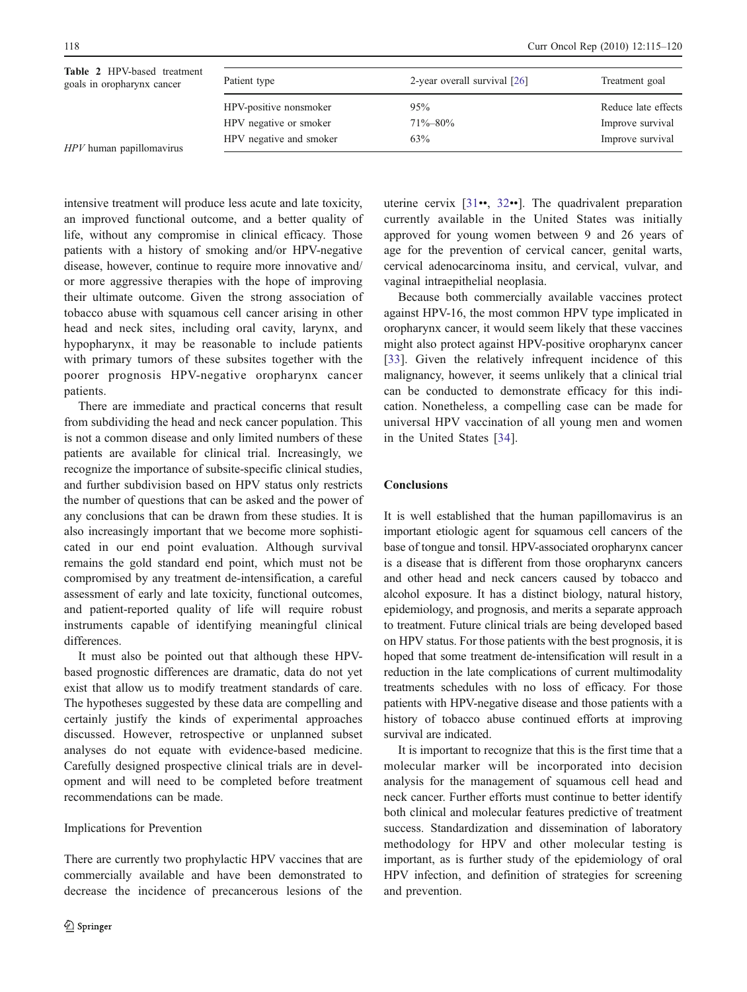<span id="page-3-0"></span>

| Table 2 HPV-based treatment<br>goals in oropharynx cancer | Patient type            | 2-year overall survival [26] | Treatment goal      |
|-----------------------------------------------------------|-------------------------|------------------------------|---------------------|
|                                                           | HPV-positive nonsmoker  | 95%                          | Reduce late effects |
|                                                           | HPV negative or smoker  | $71\% - 80\%$                | Improve survival    |
| HPV human papillomavirus                                  | HPV negative and smoker | 63%                          | Improve survival    |

 $HPV$ h

intensive treatment will produce less acute and late toxicity, an improved functional outcome, and a better quality of life, without any compromise in clinical efficacy. Those patients with a history of smoking and/or HPV-negative disease, however, continue to require more innovative and/ or more aggressive therapies with the hope of improving their ultimate outcome. Given the strong association of tobacco abuse with squamous cell cancer arising in other head and neck sites, including oral cavity, larynx, and hypopharynx, it may be reasonable to include patients with primary tumors of these subsites together with the poorer prognosis HPV-negative oropharynx cancer patients.

There are immediate and practical concerns that result from subdividing the head and neck cancer population. This is not a common disease and only limited numbers of these patients are available for clinical trial. Increasingly, we recognize the importance of subsite-specific clinical studies, and further subdivision based on HPV status only restricts the number of questions that can be asked and the power of any conclusions that can be drawn from these studies. It is also increasingly important that we become more sophisticated in our end point evaluation. Although survival remains the gold standard end point, which must not be compromised by any treatment de-intensification, a careful assessment of early and late toxicity, functional outcomes, and patient-reported quality of life will require robust instruments capable of identifying meaningful clinical differences.

It must also be pointed out that although these HPVbased prognostic differences are dramatic, data do not yet exist that allow us to modify treatment standards of care. The hypotheses suggested by these data are compelling and certainly justify the kinds of experimental approaches discussed. However, retrospective or unplanned subset analyses do not equate with evidence-based medicine. Carefully designed prospective clinical trials are in development and will need to be completed before treatment recommendations can be made.

## Implications for Prevention

There are currently two prophylactic HPV vaccines that are commercially available and have been demonstrated to decrease the incidence of precancerous lesions of the uterine cervix [[31](#page-4-0)••, [32](#page-5-0)••]. The quadrivalent preparation currently available in the United States was initially approved for young women between 9 and 26 years of age for the prevention of cervical cancer, genital warts, cervical adenocarcinoma insitu, and cervical, vulvar, and vaginal intraepithelial neoplasia.

Because both commercially available vaccines protect against HPV-16, the most common HPV type implicated in oropharynx cancer, it would seem likely that these vaccines might also protect against HPV-positive oropharynx cancer [\[33](#page-5-0)]. Given the relatively infrequent incidence of this malignancy, however, it seems unlikely that a clinical trial can be conducted to demonstrate efficacy for this indication. Nonetheless, a compelling case can be made for universal HPV vaccination of all young men and women in the United States [\[34](#page-5-0)].

## Conclusions

It is well established that the human papillomavirus is an important etiologic agent for squamous cell cancers of the base of tongue and tonsil. HPV-associated oropharynx cancer is a disease that is different from those oropharynx cancers and other head and neck cancers caused by tobacco and alcohol exposure. It has a distinct biology, natural history, epidemiology, and prognosis, and merits a separate approach to treatment. Future clinical trials are being developed based on HPV status. For those patients with the best prognosis, it is hoped that some treatment de-intensification will result in a reduction in the late complications of current multimodality treatments schedules with no loss of efficacy. For those patients with HPV-negative disease and those patients with a history of tobacco abuse continued efforts at improving survival are indicated.

It is important to recognize that this is the first time that a molecular marker will be incorporated into decision analysis for the management of squamous cell head and neck cancer. Further efforts must continue to better identify both clinical and molecular features predictive of treatment success. Standardization and dissemination of laboratory methodology for HPV and other molecular testing is important, as is further study of the epidemiology of oral HPV infection, and definition of strategies for screening and prevention.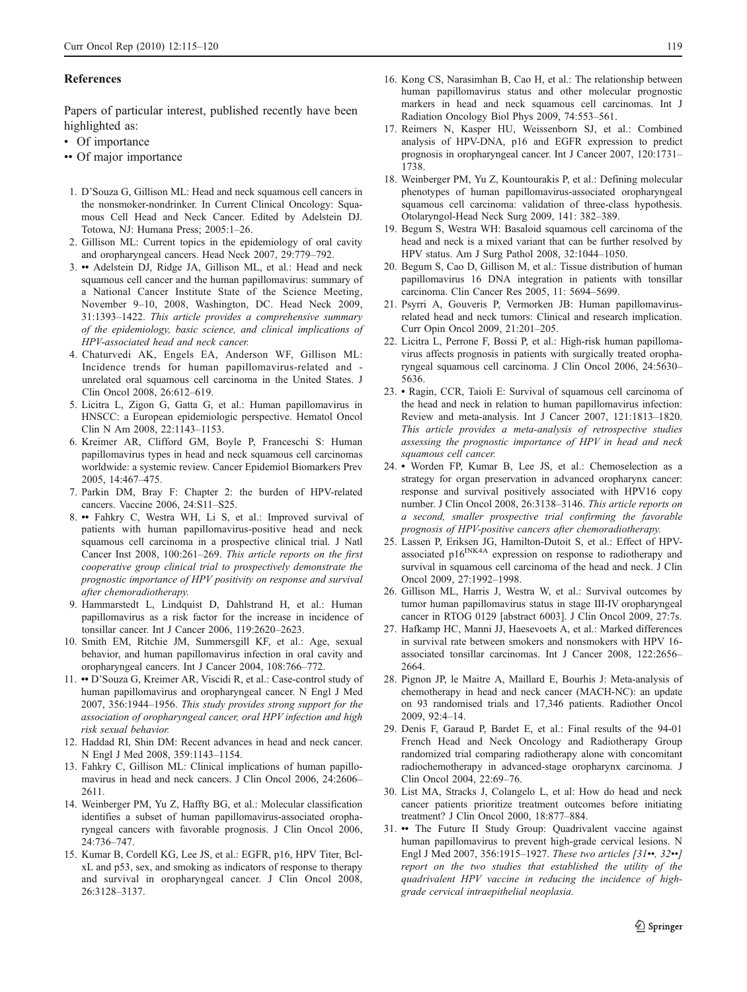#### <span id="page-4-0"></span>References

Papers of particular interest, published recently have been highlighted as:

- Of importance
- •• Of major importance
- 1. D'Souza G, Gillison ML: Head and neck squamous cell cancers in the nonsmoker-nondrinker. In Current Clinical Oncology: Squamous Cell Head and Neck Cancer. Edited by Adelstein DJ. Totowa, NJ: Humana Press; 2005:1–26.
- 2. Gillison ML: Current topics in the epidemiology of oral cavity and oropharyngeal cancers. Head Neck 2007, 29:779–792.
- 3. •• Adelstein DJ, Ridge JA, Gillison ML, et al.: Head and neck squamous cell cancer and the human papillomavirus: summary of a National Cancer Institute State of the Science Meeting, November 9–10, 2008, Washington, DC. Head Neck 2009, 31:1393–1422. This article provides a comprehensive summary of the epidemiology, basic science, and clinical implications of HPV-associated head and neck cancer.
- 4. Chaturvedi AK, Engels EA, Anderson WF, Gillison ML: Incidence trends for human papillomavirus-related and unrelated oral squamous cell carcinoma in the United States. J Clin Oncol 2008, 26:612–619.
- 5. Licitra L, Zigon G, Gatta G, et al.: Human papillomavirus in HNSCC: a European epidemiologic perspective. Hematol Oncol Clin N Am 2008, 22:1143–1153.
- 6. Kreimer AR, Clifford GM, Boyle P, Franceschi S: Human papillomavirus types in head and neck squamous cell carcinomas worldwide: a systemic review. Cancer Epidemiol Biomarkers Prev 2005, 14:467–475.
- 7. Parkin DM, Bray F: Chapter 2: the burden of HPV-related cancers. Vaccine 2006, 24:S11–S25.
- 8. •• Fahkry C, Westra WH, Li S, et al.: Improved survival of patients with human papillomavirus-positive head and neck squamous cell carcinoma in a prospective clinical trial. J Natl Cancer Inst 2008, 100:261–269. This article reports on the first cooperative group clinical trial to prospectively demonstrate the prognostic importance of HPV positivity on response and survival after chemoradiotherapy.
- 9. Hammarstedt L, Lindquist D, Dahlstrand H, et al.: Human papillomavirus as a risk factor for the increase in incidence of tonsillar cancer. Int J Cancer 2006, 119:2620–2623.
- 10. Smith EM, Ritchie JM, Summersgill KF, et al.: Age, sexual behavior, and human papillomavirus infection in oral cavity and oropharyngeal cancers. Int J Cancer 2004, 108:766–772.
- 11. •• D'Souza G, Kreimer AR, Viscidi R, et al.: Case-control study of human papillomavirus and oropharyngeal cancer. N Engl J Med 2007, 356:1944–1956. This study provides strong support for the association of oropharyngeal cancer, oral HPV infection and high risk sexual behavior.
- 12. Haddad RI, Shin DM: Recent advances in head and neck cancer. N Engl J Med 2008, 359:1143–1154.
- 13. Fahkry C, Gillison ML: Clinical implications of human papillomavirus in head and neck cancers. J Clin Oncol 2006, 24:2606– 2611.
- 14. Weinberger PM, Yu Z, Haffty BG, et al.: Molecular classification identifies a subset of human papillomavirus-associated oropharyngeal cancers with favorable prognosis. J Clin Oncol 2006, 24:736–747.
- 15. Kumar B, Cordell KG, Lee JS, et al.: EGFR, p16, HPV Titer, BclxL and p53, sex, and smoking as indicators of response to therapy and survival in oropharyngeal cancer. J Clin Oncol 2008, 26:3128–3137.
- 16. Kong CS, Narasimhan B, Cao H, et al.: The relationship between human papillomavirus status and other molecular prognostic markers in head and neck squamous cell carcinomas. Int J Radiation Oncology Biol Phys 2009, 74:553–561.
- 17. Reimers N, Kasper HU, Weissenborn SJ, et al.: Combined analysis of HPV-DNA, p16 and EGFR expression to predict prognosis in oropharyngeal cancer. Int J Cancer 2007, 120:1731– 1738.
- 18. Weinberger PM, Yu Z, Kountourakis P, et al.: Defining molecular phenotypes of human papillomavirus-associated oropharyngeal squamous cell carcinoma: validation of three-class hypothesis. Otolaryngol-Head Neck Surg 2009, 141: 382–389.
- 19. Begum S, Westra WH: Basaloid squamous cell carcinoma of the head and neck is a mixed variant that can be further resolved by HPV status. Am J Surg Pathol 2008, 32:1044–1050.
- 20. Begum S, Cao D, Gillison M, et al.: Tissue distribution of human papillomavirus 16 DNA integration in patients with tonsillar carcinoma. Clin Cancer Res 2005, 11: 5694–5699.
- 21. Psyrri A, Gouveris P, Vermorken JB: Human papillomavirusrelated head and neck tumors: Clinical and research implication. Curr Opin Oncol 2009, 21:201–205.
- 22. Licitra L, Perrone F, Bossi P, et al.: High-risk human papillomavirus affects prognosis in patients with surgically treated oropharyngeal squamous cell carcinoma. J Clin Oncol 2006, 24:5630– 5636.
- 23. Ragin, CCR, Taioli E: Survival of squamous cell carcinoma of the head and neck in relation to human papillomavirus infection: Review and meta-analysis. Int J Cancer 2007, 121:1813–1820. This article provides a meta-analysis of retrospective studies assessing the prognostic importance of HPV in head and neck squamous cell cancer.
- 24. Worden FP, Kumar B, Lee JS, et al.: Chemoselection as a strategy for organ preservation in advanced oropharynx cancer: response and survival positively associated with HPV16 copy number. J Clin Oncol 2008, 26:3138–3146. This article reports on a second, smaller prospective trial confirming the favorable prognosis of HPV-positive cancers after chemoradiotherapy.
- 25. Lassen P, Eriksen JG, Hamilton-Dutoit S, et al.: Effect of HPVassociated p16<sup>INK4A</sup> expression on response to radiotherapy and survival in squamous cell carcinoma of the head and neck. J Clin Oncol 2009, 27:1992–1998.
- 26. Gillison ML, Harris J, Westra W, et al.: Survival outcomes by tumor human papillomavirus status in stage III-IV oropharyngeal cancer in RTOG 0129 [abstract 6003]. J Clin Oncol 2009, 27:7s.
- 27. Hafkamp HC, Manni JJ, Haesevoets A, et al.: Marked differences in survival rate between smokers and nonsmokers with HPV 16 associated tonsillar carcinomas. Int J Cancer 2008, 122:2656– 2664.
- 28. Pignon JP, le Maitre A, Maillard E, Bourhis J: Meta-analysis of chemotherapy in head and neck cancer (MACH-NC): an update on 93 randomised trials and 17,346 patients. Radiother Oncol 2009, 92:4–14.
- 29. Denis F, Garaud P, Bardet E, et al.: Final results of the 94-01 French Head and Neck Oncology and Radiotherapy Group randomized trial comparing radiotherapy alone with concomitant radiochemotherapy in advanced-stage oropharynx carcinoma. J Clin Oncol 2004, 22:69–76.
- 30. List MA, Stracks J, Colangelo L, et al: How do head and neck cancer patients prioritize treatment outcomes before initiating treatment? J Clin Oncol 2000, 18:877–884.
- 31. •• The Future II Study Group: Quadrivalent vaccine against human papillomavirus to prevent high-grade cervical lesions. N Engl J Med 2007, 356:1915–1927. These two articles [31••, 32••] report on the two studies that established the utility of the quadrivalent HPV vaccine in reducing the incidence of highgrade cervical intraepithelial neoplasia.